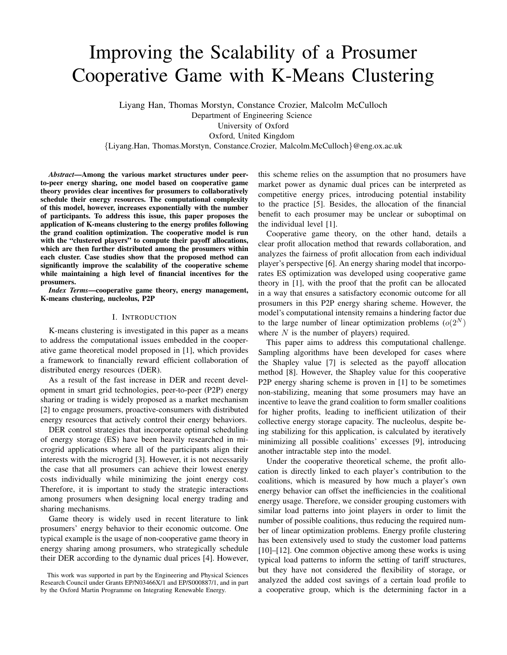# Improving the Scalability of a Prosumer Cooperative Game with K-Means Clustering

Liyang Han, Thomas Morstyn, Constance Crozier, Malcolm McCulloch

Department of Engineering Science

University of Oxford

Oxford, United Kingdom

*{*Liyang.Han, Thomas.Morstyn, Constance.Crozier, Malcolm.McCulloch*}*@eng.ox.ac.uk

*Abstract*—Among the various market structures under peerto-peer energy sharing, one model based on cooperative game theory provides clear incentives for prosumers to collaboratively schedule their energy resources. The computational complexity of this model, however, increases exponentially with the number of participants. To address this issue, this paper proposes the application of K-means clustering to the energy profiles following the grand coalition optimization. The cooperative model is run with the "clustered players" to compute their payoff allocations, which are then further distributed among the prosumers within each cluster. Case studies show that the proposed method can significantly improve the scalability of the cooperative scheme while maintaining a high level of financial incentives for the prosumers.

*Index Terms*—cooperative game theory, energy management, K-means clustering, nucleolus, P2P

#### I. INTRODUCTION

K-means clustering is investigated in this paper as a means to address the computational issues embedded in the cooperative game theoretical model proposed in [1], which provides a framework to financially reward efficient collaboration of distributed energy resources (DER).

As a result of the fast increase in DER and recent development in smart grid technologies, peer-to-peer (P2P) energy sharing or trading is widely proposed as a market mechanism [2] to engage prosumers, proactive-consumers with distributed energy resources that actively control their energy behaviors.

DER control strategies that incorporate optimal scheduling of energy storage (ES) have been heavily researched in microgrid applications where all of the participants align their interests with the microgrid [3]. However, it is not necessarily the case that all prosumers can achieve their lowest energy costs individually while minimizing the joint energy cost. Therefore, it is important to study the strategic interactions among prosumers when designing local energy trading and sharing mechanisms.

Game theory is widely used in recent literature to link prosumers' energy behavior to their economic outcome. One typical example is the usage of non-cooperative game theory in energy sharing among prosumers, who strategically schedule their DER according to the dynamic dual prices [4]. However, this scheme relies on the assumption that no prosumers have market power as dynamic dual prices can be interpreted as competitive energy prices, introducing potential instability to the practice [5]. Besides, the allocation of the financial benefit to each prosumer may be unclear or suboptimal on the individual level [1].

Cooperative game theory, on the other hand, details a clear profit allocation method that rewards collaboration, and analyzes the fairness of profit allocation from each individual player's perspective [6]. An energy sharing model that incorporates ES optimization was developed using cooperative game theory in [1], with the proof that the profit can be allocated in a way that ensures a satisfactory economic outcome for all prosumers in this P2P energy sharing scheme. However, the model's computational intensity remains a hindering factor due to the large number of linear optimization problems  $(o(2^N))$ where *N* is the number of players) required.

This paper aims to address this computational challenge. Sampling algorithms have been developed for cases where the Shapley value [7] is selected as the payoff allocation method [8]. However, the Shapley value for this cooperative P2P energy sharing scheme is proven in [1] to be sometimes non-stabilizing, meaning that some prosumers may have an incentive to leave the grand coalition to form smaller coalitions for higher profits, leading to inefficient utilization of their collective energy storage capacity. The nucleolus, despite being stabilizing for this application, is calculated by iteratively minimizing all possible coalitions' excesses [9], introducing another intractable step into the model.

Under the cooperative theoretical scheme, the profit allocation is directly linked to each player's contribution to the coalitions, which is measured by how much a player's own energy behavior can offset the inefficiencies in the coalitional energy usage. Therefore, we consider grouping customers with similar load patterns into joint players in order to limit the number of possible coalitions, thus reducing the required number of linear optimization problems. Energy profile clustering has been extensively used to study the customer load patterns [10]–[12]. One common objective among these works is using typical load patterns to inform the setting of tariff structures, but they have not considered the flexibility of storage, or analyzed the added cost savings of a certain load profile to a cooperative group, which is the determining factor in a

This work was supported in part by the Engineering and Physical Sciences Research Council under Grants EP/N03466X/1 and EP/S000887/1, and in part by the Oxford Martin Programme on Integrating Renewable Energy.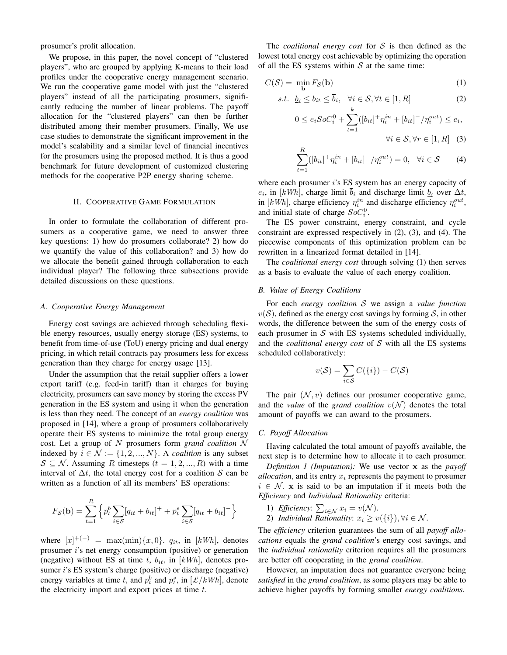prosumer's profit allocation.

We propose, in this paper, the novel concept of "clustered players", who are grouped by applying K-means to their load profiles under the cooperative energy management scenario. We run the cooperative game model with just the "clustered players" instead of all the participating prosumers, significantly reducing the number of linear problems. The payoff allocation for the "clustered players" can then be further distributed among their member prosumers. Finally, We use case studies to demonstrate the significant improvement in the model's scalability and a similar level of financial incentives for the prosumers using the proposed method. It is thus a good benchmark for future development of customized clustering methods for the cooperative P2P energy sharing scheme.

## II. COOPERATIVE GAME FORMULATION

In order to formulate the collaboration of different prosumers as a cooperative game, we need to answer three key questions: 1) how do prosumers collaborate? 2) how do we quantify the value of this collaboration? and 3) how do we allocate the benefit gained through collaboration to each individual player? The following three subsections provide detailed discussions on these questions.

#### *A. Cooperative Energy Management*

Energy cost savings are achieved through scheduling flexible energy resources, usually energy storage (ES) systems, to benefit from time-of-use (ToU) energy pricing and dual energy pricing, in which retail contracts pay prosumers less for excess generation than they charge for energy usage [13].

Under the assumption that the retail supplier offers a lower export tariff (e.g. feed-in tariff) than it charges for buying electricity, prosumers can save money by storing the excess PV generation in the ES system and using it when the generation is less than they need. The concept of an *energy coalition* was proposed in [14], where a group of prosumers collaboratively operate their ES systems to minimize the total group energy cost. Let a group of *N* prosumers form *grand coalition N* indexed by  $i \in \mathcal{N} := \{1, 2, ..., N\}$ . A *coalition* is any subset  $S \subseteq \mathcal{N}$ . Assuming *R* timesteps  $(t = 1, 2, ..., R)$  with a time interval of  $\Delta t$ , the total energy cost for a coalition *S* can be written as a function of all its members' ES operations:

$$
F_{\mathcal{S}}(\mathbf{b}) = \sum_{t=1}^{R} \left\{ p_t^b \sum_{i \in \mathcal{S}} [q_{it} + b_{it}]^+ + p_t^s \sum_{i \in \mathcal{S}} [q_{it} + b_{it}]^- \right\}
$$

where  $[x]^{+(-)} = \max(\min)\{x, 0\}$ .  $q_{it}$ , in  $[kWh]$ , denotes prosumer *i*'s net energy consumption (positive) or generation (negative) without ES at time  $t$ ,  $b_{it}$ , in  $[kWh]$ , denotes prosumer *i*'s ES system's charge (positive) or discharge (negative) energy variables at time *t*, and  $p_t^b$  and  $p_t^s$ , in  $[\mathcal{L}/kWh]$ , denote the electricity import and export prices at time *t*.

The *coalitional energy cost* for *S* is then defined as the lowest total energy cost achievable by optimizing the operation of all the ES systems within *S* at the same time:

$$
C(S) = \min_{\mathbf{b}} F_{S}(\mathbf{b})
$$
 (1)

$$
s.t. \quad \underline{b}_i \le b_{it} \le \overline{b}_i, \quad \forall i \in \mathcal{S}, \forall t \in [1, R]
$$

$$
0 \le e_i SoC_i^0 + \sum_{t=1}^k ([b_{it}]^+ \eta_i^{in} + [b_{it}]^- / \eta_i^{out}) \le e_i,
$$
  

$$
\forall i \in \mathcal{S}, \forall r \in [1, R] \quad (3)
$$

$$
\sum_{t=1}^{R} ([b_{it}]^{+} \eta_i^{in} + [b_{it}]^{-} / \eta_i^{out}) = 0, \quad \forall i \in S \tag{4}
$$

where each prosumer *i*'s ES system has an energy capacity of  $e_i$ , in [kWh], charge limit  $\overline{b}_i$  and discharge limit  $\underline{b}_i$  over  $\Delta t$ , in [ $kWh$ ], charge efficiency  $\eta_i^{in}$  and discharge efficiency  $\eta_i^{out}$ , and initial state of charge  $SoC_i^0$ .

The ES power constraint, energy constraint, and cycle constraint are expressed respectively in (2), (3), and (4). The piecewise components of this optimization problem can be rewritten in a linearized format detailed in [14].

The *coalitional energy cost* through solving (1) then serves as a basis to evaluate the value of each energy coalition.

# *B. Value of Energy Coalitions*

For each *energy coalition S* we assign a *value function*  $v(S)$ , defined as the energy cost savings by forming S, in other words, the difference between the sum of the energy costs of each prosumer in *S* with ES systems scheduled individually, and the *coalitional energy cost* of *S* with all the ES systems scheduled collaboratively:

$$
v(\mathcal{S}) = \sum_{i \in \mathcal{S}} C(\{i\}) - C(\mathcal{S})
$$

The pair  $(N, v)$  defines our prosumer cooperative game, and the *value* of the *grand coalition*  $v(\mathcal{N})$  denotes the total amount of payoffs we can award to the prosumers.

# *C. Payoff Allocation*

Having calculated the total amount of payoffs available, the next step is to determine how to allocate it to each prosumer.

*Definition 1 (Imputation):* We use vector x as the *payoff allocation*, and its entry *x<sup>i</sup>* represents the payment to prosumer  $i \in \mathcal{N}$ . x is said to be an imputation if it meets both the *Efficiency* and *Individual Rationality* criteria:

- 1) *Efficiency*:  $\sum_{i \in \mathcal{N}} x_i = v(\mathcal{N})$ .
- 2) *Individual Rationality:*  $x_i \ge v(\{i\}), \forall i \in \mathcal{N}$ .

The *efficiency* criterion guarantees the sum of all *payoff allocations* equals the *grand coalition*'s energy cost savings, and the *individual rationality* criterion requires all the prosumers are better off cooperating in the *grand coalition*.

However, an imputation does not guarantee everyone being *satisfied* in the *grand coalition*, as some players may be able to achieve higher payoffs by forming smaller *energy coalitions*.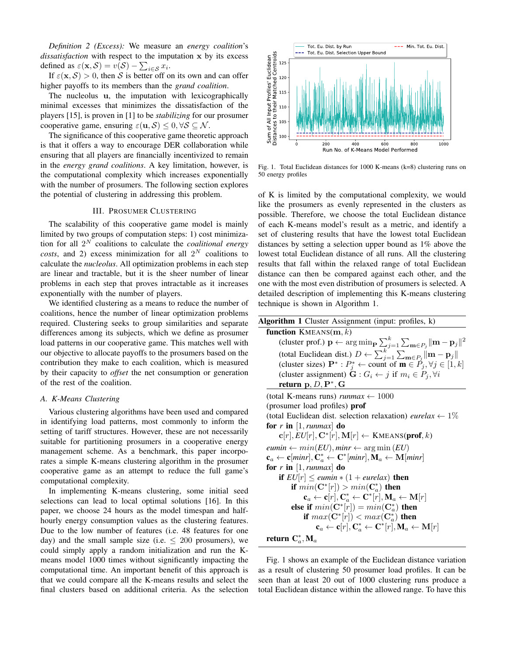*Definition 2 (Excess):* We measure an *energy coalition*'s *dissatisfaction* with respect to the imputation x by its excess defined as  $\varepsilon(\mathbf{x}, \mathcal{S}) = v(\mathcal{S}) - \sum_{i \in \mathcal{S}} x_i$ .

If  $\varepsilon(\mathbf{x}, \mathcal{S}) > 0$ , then *S* is better off on its own and can offer higher payoffs to its members than the *grand coalition*.

The nucleolus u, the imputation with lexicographically minimal excesses that minimizes the dissatisfaction of the players [15], is proven in [1] to be *stabilizing* for our prosumer cooperative game, ensuring  $\varepsilon(\mathbf{u}, \mathcal{S}) \leq 0, \forall \mathcal{S} \subseteq \mathcal{N}$ .

The significance of this cooperative game theoretic approach is that it offers a way to encourage DER collaboration while ensuring that all players are financially incentivized to remain in the *energy grand coalitions*. A key limitation, however, is the computational complexity which increases exponentially with the number of prosumers. The following section explores the potential of clustering in addressing this problem.

#### III. PROSUMER CLUSTERING

The scalability of this cooperative game model is mainly limited by two groups of computation steps: 1) cost minimization for all 2*<sup>N</sup>* coalitions to calculate the *coalitional energy costs*, and 2) excess minimization for all  $2^N$  coalitions to calculate the *nucleolus*. All optimization problems in each step are linear and tractable, but it is the sheer number of linear problems in each step that proves intractable as it increases exponentially with the number of players.

We identified clustering as a means to reduce the number of coalitions, hence the number of linear optimization problems required. Clustering seeks to group similarities and separate differences among its subjects, which we define as prosumer load patterns in our cooperative game. This matches well with our objective to allocate payoffs to the prosumers based on the contribution they make to each coalition, which is measured by their capacity to *offset* the net consumption or generation of the rest of the coalition.

#### *A. K-Means Clustering*

Various clustering algorithms have been used and compared in identifying load patterns, most commonly to inform the setting of tariff structures. However, these are not necessarily suitable for partitioning prosumers in a cooperative energy management scheme. As a benchmark, this paper incorporates a simple K-means clustering algorithm in the prosumer cooperative game as an attempt to reduce the full game's computational complexity.

In implementing K-means clustering, some initial seed selections can lead to local optimal solutions [16]. In this paper, we choose 24 hours as the model timespan and halfhourly energy consumption values as the clustering features. Due to the low number of features (i.e. 48 features for one day) and the small sample size (i.e.  $\leq 200$  prosumers), we could simply apply a random initialization and run the Kmeans model 1000 times without significantly impacting the computational time. An important benefit of this approach is that we could compare all the K-means results and select the final clusters based on additional criteria. As the selection



Fig. 1. Total Euclidean distances for 1000 K-means (k=8) clustering runs on 50 energy profiles

of K is limited by the computational complexity, we would like the prosumers as evenly represented in the clusters as possible. Therefore, we choose the total Euclidean distance of each K-means model's result as a metric, and identify a set of clustering results that have the lowest total Euclidean distances by setting a selection upper bound as 1% above the lowest total Euclidean distance of all runs. All the clustering results that fall within the relaxed range of total Euclidean distance can then be compared against each other, and the one with the most even distribution of prosumers is selected. A detailed description of implementing this K-means clustering technique is shown in Algorithm 1.

| Algorithm 1 Cluster Assignment (input: profiles, k)                                                                                     |
|-----------------------------------------------------------------------------------------------------------------------------------------|
| function $KMEANS(m, k)$                                                                                                                 |
| (cluster prof.) $\mathbf{p} \leftarrow \arg \min_{\mathbf{p}} \sum_{j=1}^{k} \sum_{\mathbf{m} \in P_j}   \mathbf{m} - \mathbf{p}_j  ^2$ |
| (total Euclidean dist.) $D \leftarrow \sum_{j=1}^{k} \sum_{m \in P_i}   \mathbf{m} - \mathbf{p}_j  $                                    |
| (cluster sizes) $\mathbf{P}^* : P_i^* \leftarrow$ count of $\mathbf{m} \in P_j, \forall j \in [1, k]$                                   |
| (cluster assignment) $\mathbf{G}: G_i \leftarrow j$ if $m_i \in P_j, \forall i$                                                         |
| return $p, D, P^*, G$                                                                                                                   |
| (total K-means runs) <i>runmax</i> $\leftarrow$ 1000                                                                                    |
| (prosumer load profiles) <b>prof</b>                                                                                                    |
| (total Euclidean dist. selection relaxation) <i>eurelax</i> $\leftarrow$ 1\%                                                            |
| for r in $\vert 1, \text{runmax} \vert$ do                                                                                              |
| $\mathbf{c}[r], EU[r], \mathbf{C}^*[r], \mathbf{M}[r] \leftarrow \text{KMEANS}(\textbf{prof}, k)$                                       |
| eumin $\leftarrow min(EU), min \leftarrow \arg min(EU)$                                                                                 |
| $\mathbf{c}_a \leftarrow \mathbf{c}[min], \mathbf{C}_a^* \leftarrow \mathbf{C}^*[min], \mathbf{M}_a \leftarrow \mathbf{M}[min]$         |
| for r in $\vert 1, \text{runmax} \vert$ do                                                                                              |
| if $EU[r] \leq$ eumin $*(1 + \text{eurelax})$ then                                                                                      |
| if $min(\mathbf{C}^*[r]) > min(\mathbf{C}^*_a)$ then                                                                                    |
| $\mathbf{c}_a \leftarrow \mathbf{c}[r], \mathbf{C}_a^* \leftarrow \mathbf{C}^*[r], \mathbf{M}_a \leftarrow \mathbf{M}[r]$               |
| else if $min(\mathbf{C}^*[r]) = min(\mathbf{C}^*_q)$ then                                                                               |
| if $max(\mathbf{C}^*[r]) < max(\mathbf{C}^*_q)$ then                                                                                    |
| $\mathbf{c}_a \leftarrow \mathbf{c}[r], \mathbf{C}_a^* \leftarrow \mathbf{C}^*[r], \mathbf{M}_a \leftarrow \mathbf{M}[r]$               |
| return $C_a^*$ , M <sub>a</sub>                                                                                                         |

Fig. 1 shows an example of the Euclidean distance variation as a result of clustering 50 prosumer load profiles. It can be seen than at least 20 out of 1000 clustering runs produce a total Euclidean distance within the allowed range. To have this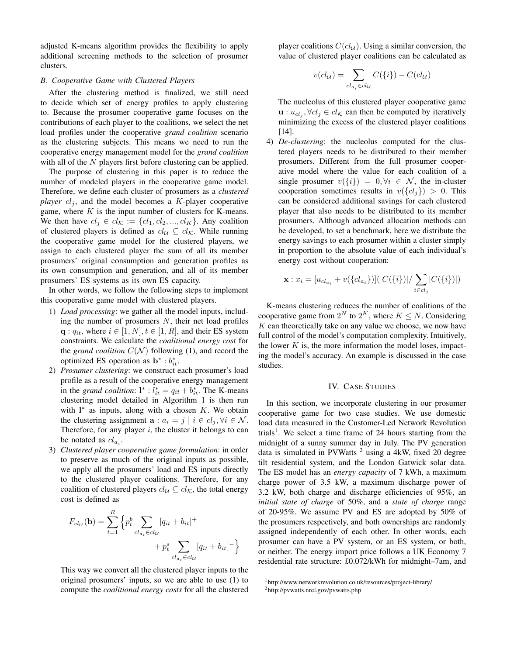adjusted K-means algorithm provides the flexibility to apply additional screening methods to the selection of prosumer clusters.

## *B. Cooperative Game with Clustered Players*

After the clustering method is finalized, we still need to decide which set of energy profiles to apply clustering to. Because the prosumer cooperative game focuses on the contributions of each player to the coalitions, we select the net load profiles under the cooperative *grand coalition* scenario as the clustering subjects. This means we need to run the cooperative energy management model for the *grand coalition* with all of the *N* players first before clustering can be applied.

The purpose of clustering in this paper is to reduce the number of modeled players in the cooperative game model. Therefore, we define each cluster of prosumers as a *clustered player*  $cl<sub>i</sub>$ , and the model becomes a *K*-player cooperative game, where *K* is the input number of clusters for K-means. We then have  $cl_j \in cl_{\mathcal{K}} := \{cl_1, cl_2, ..., cl_K\}$ . Any coalition of clustered players is defined as  $cl_{\mathcal{U}} \subseteq cl_{\mathcal{K}}$ . While running the cooperative game model for the clustered players, we assign to each clustered player the sum of all its member prosumers' original consumption and generation profiles as its own consumption and generation, and all of its member prosumers' ES systems as its own ES capacity.

In other words, we follow the following steps to implement this cooperative game model with clustered players.

- 1) *Load processing*: we gather all the model inputs, including the number of prosumers *N*, their net load profiles  $q: q_{it}$ , where  $i \in [1, N], t \in [1, R]$ , and their ES system constraints. We calculate the *coalitional energy cost* for the *grand coalition*  $C(\mathcal{N})$  following (1), and record the optimized ES operation as  $\mathbf{b}^* : b_{it}^*$ .
- 2) *Prosumer clustering*: we construct each prosumer's load profile as a result of the cooperative energy management in the *grand coalition*:  $l^*$  :  $l_{it}^* = q_{it} + b_{it}^*$ . The K-means clustering model detailed in Algorithm 1 is then run with  $l^*$  as inputs, along with a chosen  $K$ . We obtain the clustering assignment  $\mathbf{a}: a_i = j \mid i \in cl_j, \forall i \in \mathcal{N}$ . Therefore, for any player *i*, the cluster it belongs to can be notated as  $cl_{a_i}$ .
- 3) *Clustered player cooperative game formulation*: in order to preserve as much of the original inputs as possible, we apply all the prosumers' load and ES inputs directly to the clustered player coalitions. Therefore, for any coalition of clustered players  $cl_{\mathcal{U}} \subseteq cl_{\mathcal{K}}$ , the total energy cost is defined as

$$
F_{cl_{\mathcal{U}}}(\mathbf{b}) = \sum_{t=1}^{R} \left\{ p_t^b \sum_{cl_{a_i} \in cl_{\mathcal{U}}} [q_{it} + b_{it}]^+ + p_t^s \sum_{cl_{a_i} \in cl_{\mathcal{U}}} [q_{it} + b_{it}]^- \right\}
$$

This way we convert all the clustered player inputs to the original prosumers' inputs, so we are able to use (1) to compute the *coalitional energy costs* for all the clustered player coalitions  $C(cl_{\mathcal{U}})$ . Using a similar conversion, the value of clustered player coalitions can be calculated as

$$
v(cl_{\mathcal{U}}) = \sum_{cl_{a_i} \in cl_{\mathcal{U}}} C(\{i\}) - C(cl_{\mathcal{U}})
$$

The nucleolus of this clustered player cooperative game  $\mathbf{u}: u_{cl_i}, \forall cl_j \in cl_{\mathcal{K}}$  can then be computed by iteratively minimizing the excess of the clustered player coalitions [14].

4) *De-clustering*: the nucleolus computed for the clustered players needs to be distributed to their member prosumers. Different from the full prosumer cooperative model where the value for each coalition of a single prosumer  $v({i}) = 0, \forall i \in \mathcal{N}$ , the in-cluster cooperation sometimes results in  $v({c_l}_i) > 0$ . This can be considered additional savings for each clustered player that also needs to be distributed to its member prosumers. Although advanced allocation methods can be developed, to set a benchmark, here we distribute the energy savings to each prosumer within a cluster simply in proportion to the absolute value of each individual's energy cost without cooperation:

$$
\mathbf{x}: x_i = [u_{cl_{a_i}} + v(\{cl_{a_i}\})] (|C(\{i\})| / \sum_{i \in cl_j} |C(\{i\})|)
$$

K-means clustering reduces the number of coalitions of the cooperative game from  $2^N$  to  $2^K$ , where  $K \leq N$ . Considering *K* can theoretically take on any value we choose, we now have full control of the model's computation complexity. Intuitively, the lower  $K$  is, the more information the model loses, impacting the model's accuracy. An example is discussed in the case studies.

## IV. CASE STUDIES

In this section, we incorporate clustering in our prosumer cooperative game for two case studies. We use domestic load data measured in the Customer-Led Network Revolution trials<sup>1</sup>. We select a time frame of 24 hours starting from the midnight of a sunny summer day in July. The PV generation data is simulated in PVWatts  $2$  using a 4kW, fixed 20 degree tilt residential system, and the London Gatwick solar data. The ES model has an *energy capacity* of 7 kWh, a maximum charge power of 3.5 kW, a maximum discharge power of 3.2 kW, both charge and discharge efficiencies of 95%, an *initial state of charge* of 50%, and a *state of charge* range of 20-95%. We assume PV and ES are adopted by 50% of the prosumers respectively, and both ownerships are randomly assigned independently of each other. In other words, each prosumer can have a PV system, or an ES system, or both, or neither. The energy import price follows a UK Economy 7 residential rate structure: £0.072/kWh for midnight–7am, and

<sup>1</sup>http://www.networkrevolution.co.uk/resources/project-library/

<sup>2</sup>http://pvwatts.nrel.gov/pvwatts.php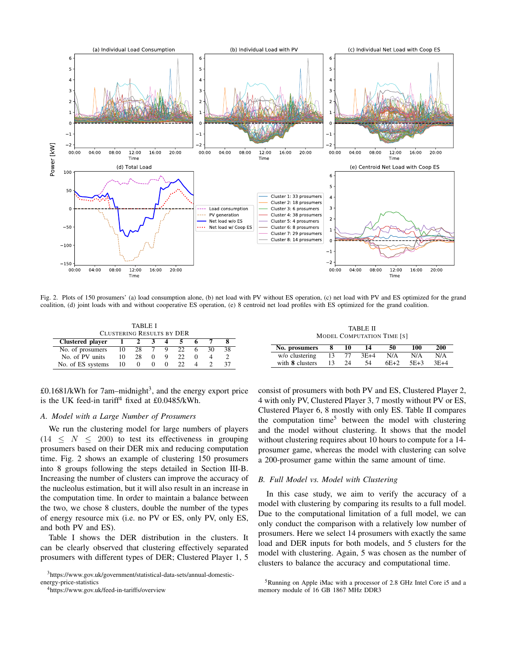

Fig. 2. Plots of 150 prosumers' (a) load consumption alone, (b) net load with PV without ES operation, (c) net load with PV and ES optimized for the grand coalition, (d) joint loads with and without cooperative ES operation, (e) 8 centroid net load profiles with ES optimized for the grand coalition.

| TABLE I<br><b>CLUSTERING RESULTS BY DER</b> |                |              |     |   |     |  |    |    |  |  |
|---------------------------------------------|----------------|--------------|-----|---|-----|--|----|----|--|--|
| Clustered player                            |                | <sup>2</sup> | 3.  |   |     |  |    |    |  |  |
| No. of prosumers                            | $\frac{10}{2}$ | 28.          | - 7 | 9 | 22. |  | 30 | 38 |  |  |
| No. of PV units                             | 10             | 28           |     |   | 22  |  |    |    |  |  |
| No. of ES systems                           | 10             | $^{\circ}$   |     | 0 | つつ  |  |    |    |  |  |

| TABLE II<br><b>MODEL COMPUTATION TIME [S]</b> |    |    |        |        |        |        |  |  |  |  |  |
|-----------------------------------------------|----|----|--------|--------|--------|--------|--|--|--|--|--|
| No. prosumers                                 | 8  | 10 | 14     | 50     | 100    | 200    |  |  |  |  |  |
| w/o clustering                                | 13 | 77 | $3E+4$ | N/A    | N/A    | N/A    |  |  |  |  |  |
| with <b>8</b> clusters                        |    | 24 | 54     | $6E+2$ | $5E+3$ | $3E+4$ |  |  |  |  |  |

with 8 clusters 13 24 54 6E+2 5E+3

 $\text{\pounds}0.1681/\text{kWh}$  for 7am–midnight<sup>3</sup>, and the energy export price is the UK feed-in tariff<sup>4</sup> fixed at  $£0.0485$ /kWh.

#### *A. Model with a Large Number of Prosumers*

We run the clustering model for large numbers of players  $(14 \leq N \leq 200)$  to test its effectiveness in grouping prosumers based on their DER mix and reducing computation time. Fig. 2 shows an example of clustering 150 prosumers into 8 groups following the steps detailed in Section III-B. Increasing the number of clusters can improve the accuracy of the nucleolus estimation, but it will also result in an increase in the computation time. In order to maintain a balance between the two, we chose 8 clusters, double the number of the types of energy resource mix (i.e. no PV or ES, only PV, only ES, and both PV and ES).

Table I shows the DER distribution in the clusters. It can be clearly observed that clustering effectively separated prosumers with different types of DER; Clustered Player 1, 5

consist of prosumers with both PV and ES, Clustered Player 2, 4 with only PV, Clustered Player 3, 7 mostly without PV or ES, Clustered Player 6, 8 mostly with only ES. Table II compares the computation time<sup>5</sup> between the model with clustering and the model without clustering. It shows that the model without clustering requires about 10 hours to compute for a 14 prosumer game, whereas the model with clustering can solve a 200-prosumer game within the same amount of time.

# *B. Full Model vs. Model with Clustering*

In this case study, we aim to verify the accuracy of a model with clustering by comparing its results to a full model. Due to the computational limitation of a full model, we can only conduct the comparison with a relatively low number of prosumers. Here we select 14 prosumers with exactly the same load and DER inputs for both models, and 5 clusters for the model with clustering. Again, 5 was chosen as the number of clusters to balance the accuracy and computational time.

<sup>3</sup>https://www.gov.uk/government/statistical-data-sets/annual-domestic-

energy-price-statistics

<sup>4</sup>https://www.gov.uk/feed-in-tariffs/overview

<sup>5</sup>Running on Apple iMac with a processor of 2.8 GHz Intel Core i5 and a memory module of 16 GB 1867 MHz DDR3